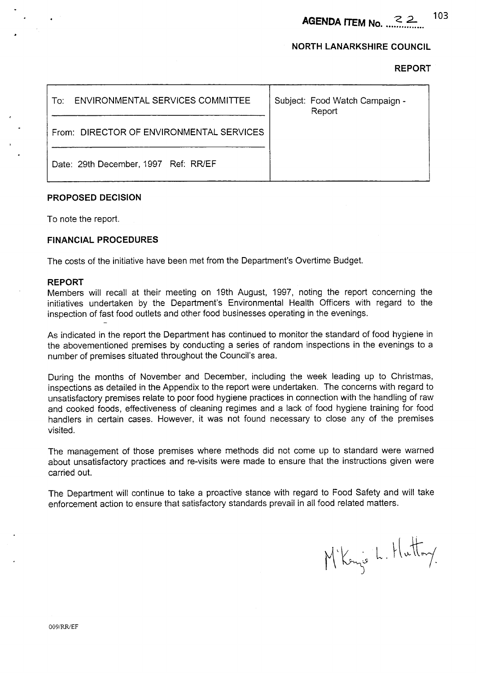**AGENDA ITEM No.**  $2 \times 103$ 

## **NORTH LANARKSHIRE COUNCIL**

**REPORT** 

| ENVIRONMENTAL SERVICES COMMITTEE<br>To:⊹ | Subject: Food Watch Campaign -<br>Report |
|------------------------------------------|------------------------------------------|
| From: DIRECTOR OF ENVIRONMENTAL SERVICES |                                          |
| Date: 29th December, 1997 Ref: RR/EF     |                                          |

## **PROPOSED DECISION**

To note the report.

### **FINANCIAL PROCEDURES**

The costs of the initiative have been met from the Department's Overtime Budget.

### **REPORT**

Members will recall at their meeting on 19th August, 1997, noting the report concerning the initiatives undertaken by the Department's Environmental Health Officers with regard to the inspection of fast food outlets and other food businesses operating in the evenings. -

As indicated in the report the Department has continued to monitor the standard of food hygiene in the abovementioned premises by conducting a series of random inspections in the evenings to a number of premises situated throughout the Council's area.

During the months of November and December, including the week leading up to Christmas, inspections as detailed in the Appendix to the report were undertaken. The concerns with regard to unsatisfactory premises relate to poor food hygiene practices in connection with the handling of raw and cooked foods, effectiveness of cleaning regimes and a lack of food hygiene training for food handlers in certain cases. However, it was not found necessary to close any of the premises visited.

The management of those premises where methods did not come up to standard were warned about unsatisfactory practices and re-visits were made to ensure that the instructions given were carried out.

The Department will continue to take a proactive stance with regard to Food Safety and will take enforcement action to ensure that satisfactory standards prevail in all food related matters.

M'Konze L. Hutton